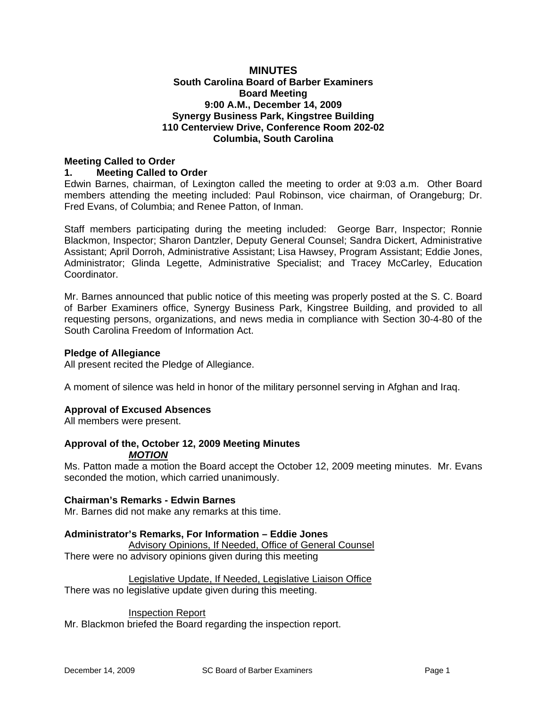# **MINUTES South Carolina Board of Barber Examiners Board Meeting 9:00 A.M., December 14, 2009 Synergy Business Park, Kingstree Building 110 Centerview Drive, Conference Room 202-02 Columbia, South Carolina**

#### **Meeting Called to Order 1. Meeting Called to Order**

Edwin Barnes, chairman, of Lexington called the meeting to order at 9:03 a.m. Other Board members attending the meeting included: Paul Robinson, vice chairman, of Orangeburg; Dr. Fred Evans, of Columbia; and Renee Patton, of Inman.

Staff members participating during the meeting included: George Barr, Inspector; Ronnie Blackmon, Inspector; Sharon Dantzler, Deputy General Counsel; Sandra Dickert, Administrative Assistant; April Dorroh, Administrative Assistant; Lisa Hawsey, Program Assistant; Eddie Jones, Administrator; Glinda Legette, Administrative Specialist; and Tracey McCarley, Education Coordinator.

Mr. Barnes announced that public notice of this meeting was properly posted at the S. C. Board of Barber Examiners office, Synergy Business Park, Kingstree Building, and provided to all requesting persons, organizations, and news media in compliance with Section 30-4-80 of the South Carolina Freedom of Information Act.

# **Pledge of Allegiance**

All present recited the Pledge of Allegiance.

A moment of silence was held in honor of the military personnel serving in Afghan and Iraq.

# **Approval of Excused Absences**

All members were present.

#### **Approval of the, October 12, 2009 Meeting Minutes**  *MOTION*

Ms. Patton made a motion the Board accept the October 12, 2009 meeting minutes. Mr. Evans seconded the motion, which carried unanimously.

# **Chairman's Remarks - Edwin Barnes**

Mr. Barnes did not make any remarks at this time.

# **Administrator's Remarks, For Information – Eddie Jones**

Advisory Opinions, If Needed, Office of General Counsel There were no advisory opinions given during this meeting

Legislative Update, If Needed, Legislative Liaison Office There was no legislative update given during this meeting.

# Inspection Report

Mr. Blackmon briefed the Board regarding the inspection report.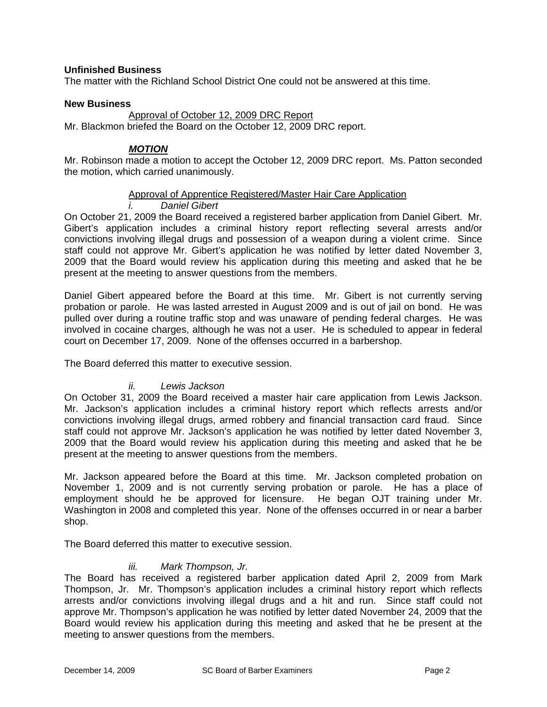# **Unfinished Business**

The matter with the Richland School District One could not be answered at this time.

# **New Business**

#### Approval of October 12, 2009 DRC Report

Mr. Blackmon briefed the Board on the October 12, 2009 DRC report.

# *MOTION*

Mr. Robinson made a motion to accept the October 12, 2009 DRC report. Ms. Patton seconded the motion, which carried unanimously.

# Approval of Apprentice Registered/Master Hair Care Application

# *i. Daniel Gibert*

On October 21, 2009 the Board received a registered barber application from Daniel Gibert. Mr. Gibert's application includes a criminal history report reflecting several arrests and/or convictions involving illegal drugs and possession of a weapon during a violent crime. Since staff could not approve Mr. Gibert's application he was notified by letter dated November 3, 2009 that the Board would review his application during this meeting and asked that he be present at the meeting to answer questions from the members.

Daniel Gibert appeared before the Board at this time. Mr. Gibert is not currently serving probation or parole. He was lasted arrested in August 2009 and is out of jail on bond. He was pulled over during a routine traffic stop and was unaware of pending federal charges. He was involved in cocaine charges, although he was not a user. He is scheduled to appear in federal court on December 17, 2009. None of the offenses occurred in a barbershop.

The Board deferred this matter to executive session.

# *ii. Lewis Jackson*

On October 31, 2009 the Board received a master hair care application from Lewis Jackson. Mr. Jackson's application includes a criminal history report which reflects arrests and/or convictions involving illegal drugs, armed robbery and financial transaction card fraud. Since staff could not approve Mr. Jackson's application he was notified by letter dated November 3, 2009 that the Board would review his application during this meeting and asked that he be present at the meeting to answer questions from the members.

Mr. Jackson appeared before the Board at this time. Mr. Jackson completed probation on November 1, 2009 and is not currently serving probation or parole. He has a place of employment should he be approved for licensure. He began OJT training under Mr. Washington in 2008 and completed this year. None of the offenses occurred in or near a barber shop.

The Board deferred this matter to executive session.

# *iii. Mark Thompson, Jr.*

The Board has received a registered barber application dated April 2, 2009 from Mark Thompson, Jr. Mr. Thompson's application includes a criminal history report which reflects arrests and/or convictions involving illegal drugs and a hit and run. Since staff could not approve Mr. Thompson's application he was notified by letter dated November 24, 2009 that the Board would review his application during this meeting and asked that he be present at the meeting to answer questions from the members.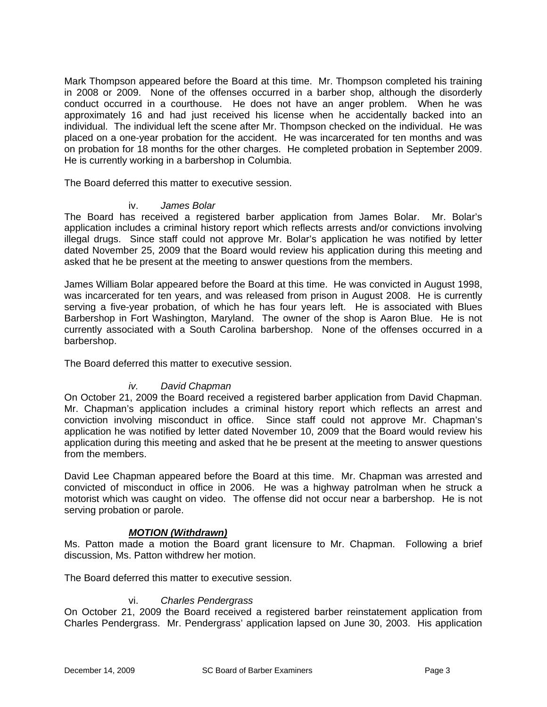Mark Thompson appeared before the Board at this time. Mr. Thompson completed his training in 2008 or 2009. None of the offenses occurred in a barber shop, although the disorderly conduct occurred in a courthouse. He does not have an anger problem. When he was approximately 16 and had just received his license when he accidentally backed into an individual. The individual left the scene after Mr. Thompson checked on the individual. He was placed on a one-year probation for the accident. He was incarcerated for ten months and was on probation for 18 months for the other charges. He completed probation in September 2009. He is currently working in a barbershop in Columbia.

The Board deferred this matter to executive session.

#### James Bolar

The Board has received a registered barber application from James Bolar. Mr. Bolar's application includes a criminal history report which reflects arrests and/or convictions involving illegal drugs. Since staff could not approve Mr. Bolar's application he was notified by letter dated November 25, 2009 that the Board would review his application during this meeting and asked that he be present at the meeting to answer questions from the members.

James William Bolar appeared before the Board at this time. He was convicted in August 1998, was incarcerated for ten years, and was released from prison in August 2008. He is currently serving a five-year probation, of which he has four years left. He is associated with Blues Barbershop in Fort Washington, Maryland. The owner of the shop is Aaron Blue. He is not currently associated with a South Carolina barbershop. None of the offenses occurred in a barbershop.

The Board deferred this matter to executive session.

# *iv. David Chapman*

On October 21, 2009 the Board received a registered barber application from David Chapman. Mr. Chapman's application includes a criminal history report which reflects an arrest and conviction involving misconduct in office. Since staff could not approve Mr. Chapman's application he was notified by letter dated November 10, 2009 that the Board would review his application during this meeting and asked that he be present at the meeting to answer questions from the members.

David Lee Chapman appeared before the Board at this time. Mr. Chapman was arrested and convicted of misconduct in office in 2006. He was a highway patrolman when he struck a motorist which was caught on video. The offense did not occur near a barbershop. He is not serving probation or parole.

# *MOTION (Withdrawn)*

Ms. Patton made a motion the Board grant licensure to Mr. Chapman. Following a brief discussion, Ms. Patton withdrew her motion.

The Board deferred this matter to executive session.

# vi. *Charles Pendergrass*

On October 21, 2009 the Board received a registered barber reinstatement application from Charles Pendergrass. Mr. Pendergrass' application lapsed on June 30, 2003. His application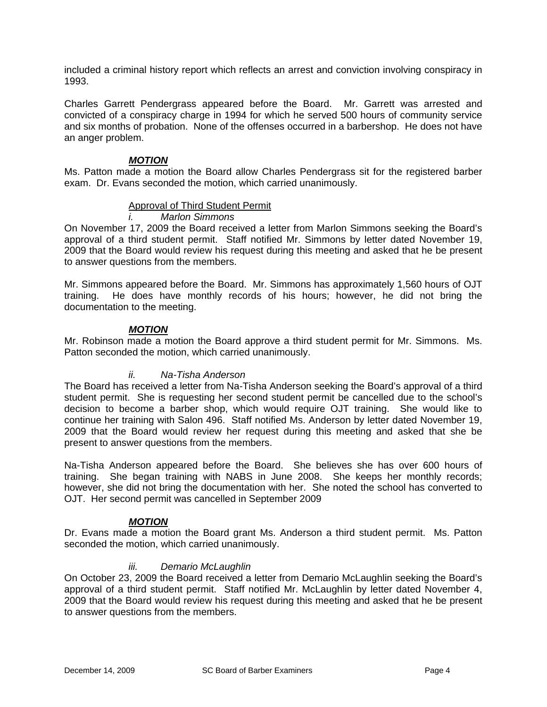included a criminal history report which reflects an arrest and conviction involving conspiracy in 1993.

Charles Garrett Pendergrass appeared before the Board. Mr. Garrett was arrested and convicted of a conspiracy charge in 1994 for which he served 500 hours of community service and six months of probation. None of the offenses occurred in a barbershop. He does not have an anger problem.

# *MOTION*

Ms. Patton made a motion the Board allow Charles Pendergrass sit for the registered barber exam. Dr. Evans seconded the motion, which carried unanimously.

# Approval of Third Student Permit

*i. Marlon Simmons* 

On November 17, 2009 the Board received a letter from Marlon Simmons seeking the Board's approval of a third student permit. Staff notified Mr. Simmons by letter dated November 19, 2009 that the Board would review his request during this meeting and asked that he be present to answer questions from the members.

Mr. Simmons appeared before the Board. Mr. Simmons has approximately 1,560 hours of OJT training. He does have monthly records of his hours; however, he did not bring the documentation to the meeting.

# *MOTION*

Mr. Robinson made a motion the Board approve a third student permit for Mr. Simmons. Ms. Patton seconded the motion, which carried unanimously.

# *ii. Na-Tisha Anderson*

The Board has received a letter from Na-Tisha Anderson seeking the Board's approval of a third student permit. She is requesting her second student permit be cancelled due to the school's decision to become a barber shop, which would require OJT training. She would like to continue her training with Salon 496. Staff notified Ms. Anderson by letter dated November 19, 2009 that the Board would review her request during this meeting and asked that she be present to answer questions from the members.

Na-Tisha Anderson appeared before the Board. She believes she has over 600 hours of training. She began training with NABS in June 2008. She keeps her monthly records; however, she did not bring the documentation with her. She noted the school has converted to OJT. Her second permit was cancelled in September 2009

# *MOTION*

Dr. Evans made a motion the Board grant Ms. Anderson a third student permit. Ms. Patton seconded the motion, which carried unanimously.

# *iii. Demario McLaughlin*

On October 23, 2009 the Board received a letter from Demario McLaughlin seeking the Board's approval of a third student permit. Staff notified Mr. McLaughlin by letter dated November 4, 2009 that the Board would review his request during this meeting and asked that he be present to answer questions from the members.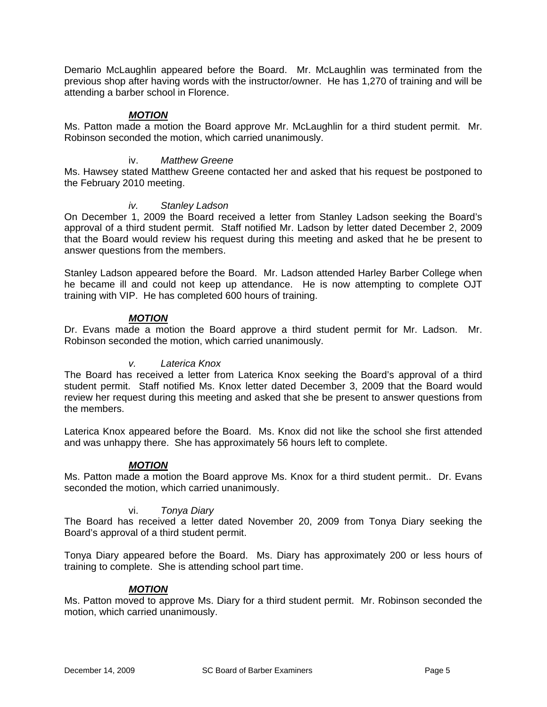Demario McLaughlin appeared before the Board. Mr. McLaughlin was terminated from the previous shop after having words with the instructor/owner. He has 1,270 of training and will be attending a barber school in Florence.

# *MOTION*

Ms. Patton made a motion the Board approve Mr. McLaughlin for a third student permit. Mr. Robinson seconded the motion, which carried unanimously.

# iv. *Matthew Greene*

Ms. Hawsey stated Matthew Greene contacted her and asked that his request be postponed to the February 2010 meeting.

# *iv. Stanley Ladson*

On December 1, 2009 the Board received a letter from Stanley Ladson seeking the Board's approval of a third student permit. Staff notified Mr. Ladson by letter dated December 2, 2009 that the Board would review his request during this meeting and asked that he be present to answer questions from the members.

Stanley Ladson appeared before the Board. Mr. Ladson attended Harley Barber College when he became ill and could not keep up attendance. He is now attempting to complete OJT training with VIP. He has completed 600 hours of training.

# *MOTION*

Dr. Evans made a motion the Board approve a third student permit for Mr. Ladson. Mr. Robinson seconded the motion, which carried unanimously.

# *v. Laterica Knox*

The Board has received a letter from Laterica Knox seeking the Board's approval of a third student permit. Staff notified Ms. Knox letter dated December 3, 2009 that the Board would review her request during this meeting and asked that she be present to answer questions from the members.

Laterica Knox appeared before the Board. Ms. Knox did not like the school she first attended and was unhappy there. She has approximately 56 hours left to complete.

# *MOTION*

Ms. Patton made a motion the Board approve Ms. Knox for a third student permit.. Dr. Evans seconded the motion, which carried unanimously.

# vi. *Tonya Diary*

The Board has received a letter dated November 20, 2009 from Tonya Diary seeking the Board's approval of a third student permit.

Tonya Diary appeared before the Board. Ms. Diary has approximately 200 or less hours of training to complete. She is attending school part time.

# *MOTION*

Ms. Patton moved to approve Ms. Diary for a third student permit. Mr. Robinson seconded the motion, which carried unanimously.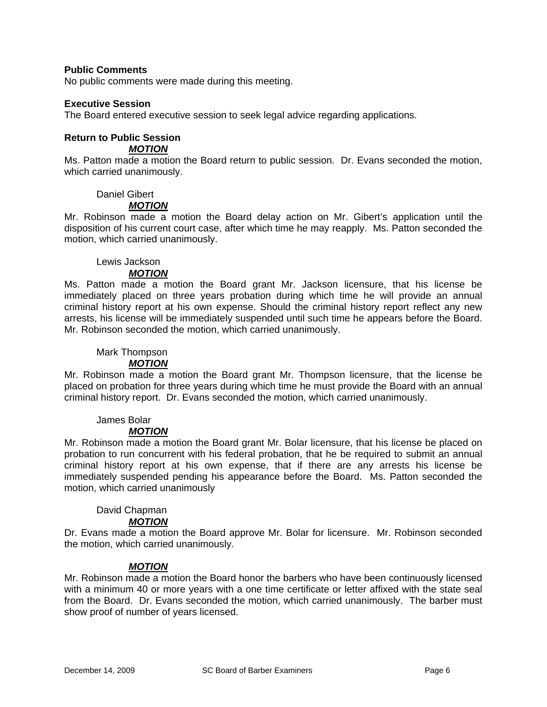### **Public Comments**

No public comments were made during this meeting.

#### **Executive Session**

The Board entered executive session to seek legal advice regarding applications.

# **Return to Public Session**

*MOTION*

Ms. Patton made a motion the Board return to public session. Dr. Evans seconded the motion, which carried unanimously.

#### Daniel Gibert

# *MOTION*

Mr. Robinson made a motion the Board delay action on Mr. Gibert's application until the disposition of his current court case, after which time he may reapply. Ms. Patton seconded the motion, which carried unanimously.

#### Lewis Jackson

#### *MOTION*

Ms. Patton made a motion the Board grant Mr. Jackson licensure, that his license be immediately placed on three years probation during which time he will provide an annual criminal history report at his own expense. Should the criminal history report reflect any new arrests, his license will be immediately suspended until such time he appears before the Board. Mr. Robinson seconded the motion, which carried unanimously.

#### Mark Thompson

#### *MOTION*

Mr. Robinson made a motion the Board grant Mr. Thompson licensure, that the license be placed on probation for three years during which time he must provide the Board with an annual criminal history report. Dr. Evans seconded the motion, which carried unanimously.

# James Bolar

# *MOTION*

Mr. Robinson made a motion the Board grant Mr. Bolar licensure, that his license be placed on probation to run concurrent with his federal probation, that he be required to submit an annual criminal history report at his own expense, that if there are any arrests his license be immediately suspended pending his appearance before the Board. Ms. Patton seconded the motion, which carried unanimously

# David Chapman

# *MOTION*

Dr. Evans made a motion the Board approve Mr. Bolar for licensure. Mr. Robinson seconded the motion, which carried unanimously.

# *MOTION*

Mr. Robinson made a motion the Board honor the barbers who have been continuously licensed with a minimum 40 or more years with a one time certificate or letter affixed with the state seal from the Board. Dr. Evans seconded the motion, which carried unanimously. The barber must show proof of number of years licensed.